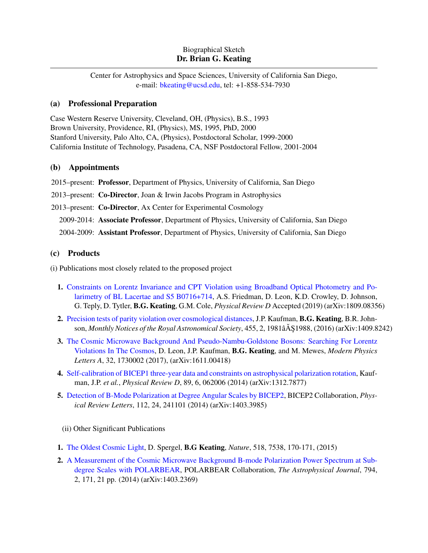### Biographical Sketch Dr. Brian G. Keating

Center for Astrophysics and Space Sciences, University of California San Diego, e-mail: [bkeating@ucsd.edu,](mailto:bkeating@ucsd.edu) tel: +1-858-534-7930

### (a) Professional Preparation

Case Western Reserve University, Cleveland, OH, (Physics), B.S., 1993 Brown University, Providence, RI, (Physics), MS, 1995, PhD, 2000 Stanford University, Palo Alto, CA, (Physics), Postdoctoral Scholar, 1999-2000 California Institute of Technology, Pasadena, CA, NSF Postdoctoral Fellow, 2001-2004

## (b) Appointments

2015–present: Professor, Department of Physics, University of California, San Diego

2013–present: Co-Director, Joan & Irwin Jacobs Program in Astrophysics

2013–present: Co-Director, Ax Center for Experimental Cosmology

2009-2014: Associate Professor, Department of Physics, University of California, San Diego

2004-2009: Assistant Professor, Department of Physics, University of California, San Diego

# (c) Products

(i) Publications most closely related to the proposed project

- 1. [Constraints on Lorentz Invariance and CPT Violation using Broadband Optical Photometry and Po](https://arxiv.org/abs/1809.08356)[larimetry of BL Lacertae and S5 B0716+714,](https://arxiv.org/abs/1809.08356) A.S. Friedman, D. Leon, K.D. Crowley, D. Johnson, G. Teply, D. Tytler, B.G. Keating, G.M. Cole, *Physical Review D* Accepted (2019) (arXiv:1809.08356)
- 2. [Precision tests of parity violation over cosmological distances,](https://academic.oup.com/mnras/article/455/2/1981/1108790) J.P. Kaufman, B.G. Keating, B.R. Johnson, *Monthly Notices of the Royal Astronomical Society*, 455, 2, 1981â $\AA$ \$1988, (2016) (arXiv:1409.8242)
- 3. [The Cosmic Microwave Background And Pseudo-Nambu-Goldstone Bosons: Searching For Lorentz](https://www.worldscientific.com/doi/abs/10.1142/S0217732317300026) [Violations In The Cosmos,](https://www.worldscientific.com/doi/abs/10.1142/S0217732317300026) D. Leon, J.P. Kaufman, B.G. Keating, and M. Mewes, *Modern Physics Letters A*, 32, 1730002 (2017), (arXiv:1611.00418)
- 4. [Self-calibration of BICEP1 three-year data and constraints on astrophysical polarization rotation,](https://journals.aps.org/prd/abstract/10.1103/PhysRevD.89.062006) Kaufman, J.P. *et al.*, *Physical Review D*, 89, 6, 062006 (2014) (arXiv:1312.7877)
- 5. [Detection of B-Mode Polarization at Degree Angular Scales by BICEP2,](https://link.aps.org/doi/10.1103/PhysRevLett.112.241101) BICEP2 Collaboration, *Physical Review Letters*, 112, 24, 241101 (2014) (arXiv:1403.3985)

(ii) Other Significant Publications

- 1. [The Oldest Cosmic Light,](https://www.nature.com/articles/518170a) D. Spergel, B.G Keating, *Nature*, 518, 7538, 170-171, (2015)
- 2. [A Measurement of the Cosmic Microwave Background B-mode Polarization Power Spectrum at Sub](http://iopscience.iop.org/article/10.1088/0004-637X/794/2/171/meta)[degree Scales with POLARBEAR,](http://iopscience.iop.org/article/10.1088/0004-637X/794/2/171/meta) POLARBEAR Collaboration, *The Astrophysical Journal*, 794, 2, 171, 21 pp. (2014) (arXiv:1403.2369)